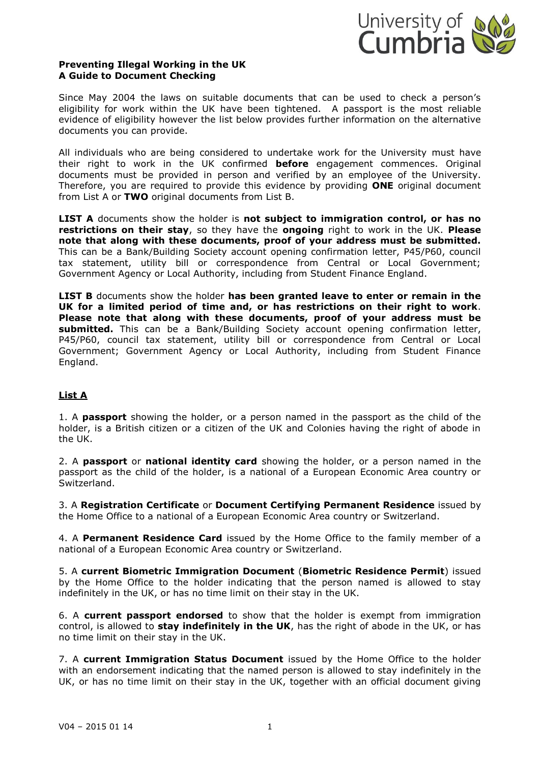

## **Preventing Illegal Working in the UK A Guide to Document Checking**

Since May 2004 the laws on suitable documents that can be used to check a person's eligibility for work within the UK have been tightened. A passport is the most reliable evidence of eligibility however the list below provides further information on the alternative documents you can provide.

All individuals who are being considered to undertake work for the University must have their right to work in the UK confirmed **before** engagement commences. Original documents must be provided in person and verified by an employee of the University. Therefore, you are required to provide this evidence by providing **ONE** original document from List A or **TWO** original documents from List B.

**LIST A** documents show the holder is **not subject to immigration control, or has no restrictions on their stay**, so they have the **ongoing** right to work in the UK. **Please note that along with these documents, proof of your address must be submitted.** This can be a Bank/Building Society account opening confirmation letter, P45/P60, council tax statement, utility bill or correspondence from Central or Local Government; Government Agency or Local Authority, including from Student Finance England.

**LIST B** documents show the holder **has been granted leave to enter or remain in the UK for a limited period of time and, or has restrictions on their right to work**. **Please note that along with these documents, proof of your address must be submitted.** This can be a Bank/Building Society account opening confirmation letter, P45/P60, council tax statement, utility bill or correspondence from Central or Local Government; Government Agency or Local Authority, including from Student Finance England.

# **List A**

1. A **passport** showing the holder, or a person named in the passport as the child of the holder, is a British citizen or a citizen of the UK and Colonies having the right of abode in the UK.

2. A **passport** or **national identity card** showing the holder, or a person named in the passport as the child of the holder, is a national of a European Economic Area country or Switzerland.

3. A **Registration Certificate** or **Document Certifying Permanent Residence** issued by the Home Office to a national of a European Economic Area country or Switzerland.

4. A **Permanent Residence Card** issued by the Home Office to the family member of a national of a European Economic Area country or Switzerland.

5. A **current Biometric Immigration Document** (**Biometric Residence Permit**) issued by the Home Office to the holder indicating that the person named is allowed to stay indefinitely in the UK, or has no time limit on their stay in the UK.

6. A **current passport endorsed** to show that the holder is exempt from immigration control, is allowed to **stay indefinitely in the UK**, has the right of abode in the UK, or has no time limit on their stay in the UK.

7. A **current Immigration Status Document** issued by the Home Office to the holder with an endorsement indicating that the named person is allowed to stay indefinitely in the UK, or has no time limit on their stay in the UK, together with an official document giving